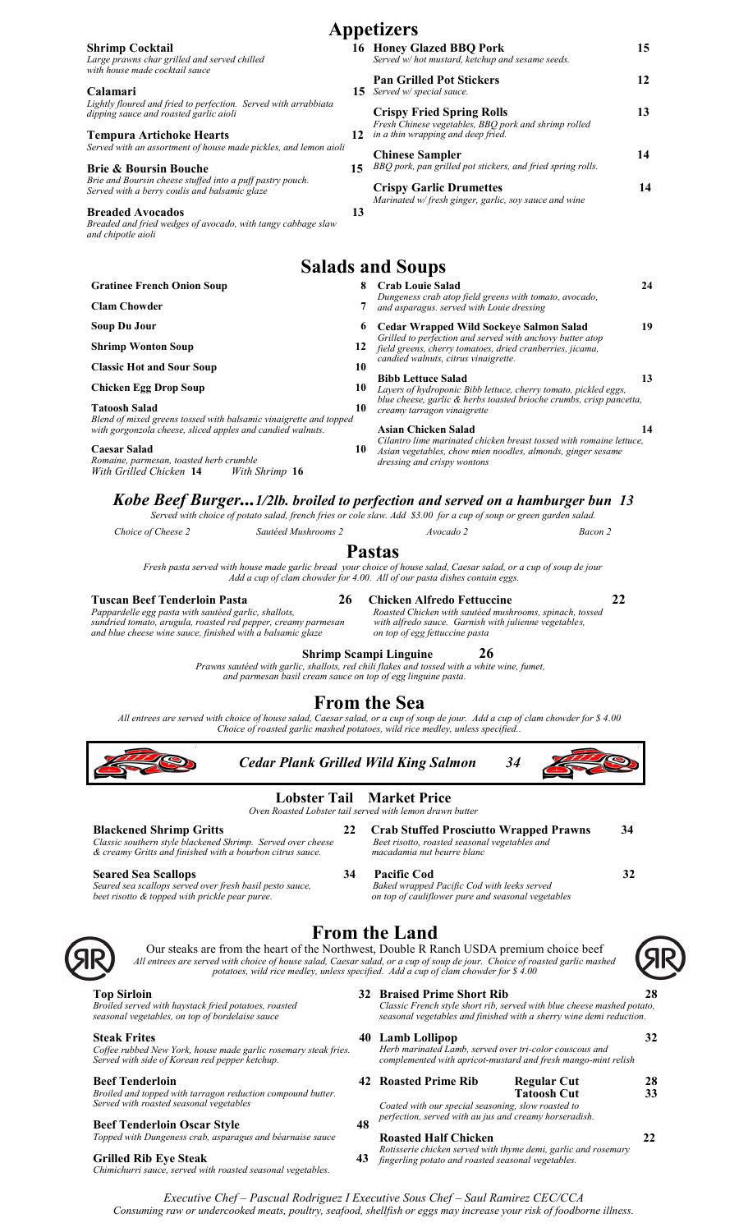|                                                                                                                                                                                     |    | <b>Appetizers</b>                                                                                                                                                                                                                               |          |
|-------------------------------------------------------------------------------------------------------------------------------------------------------------------------------------|----|-------------------------------------------------------------------------------------------------------------------------------------------------------------------------------------------------------------------------------------------------|----------|
| <b>Shrimp Cocktail</b><br>Large prawns char grilled and served chilled<br>with house made cocktail sauce                                                                            |    | 16 Honey Glazed BBQ Pork<br>Served w/ hot mustard, ketchup and sesame seeds.                                                                                                                                                                    | 15       |
| Calamari<br>Lightly floured and fried to perfection. Served with arrabbiata                                                                                                         |    | <b>Pan Grilled Pot Stickers</b><br><b>15</b> Served w/ special sauce.                                                                                                                                                                           | 12       |
| dipping sauce and roasted garlic aioli<br><b>Tempura Artichoke Hearts</b>                                                                                                           |    | <b>Crispy Fried Spring Rolls</b><br>Fresh Chinese vegetables, BBQ pork and shrimp rolled<br>12 in a thin wrapping and deep fried.                                                                                                               | 13       |
| Served with an assortment of house made pickles, and lemon aioli                                                                                                                    |    | <b>Chinese Sampler</b>                                                                                                                                                                                                                          | 14       |
| <b>Brie &amp; Boursin Bouche</b><br>Brie and Boursin cheese stuffed into a puff pastry pouch.<br>Served with a berry coulis and balsamic glaze                                      | 15 | BBQ pork, pan grilled pot stickers, and fried spring rolls.<br><b>Crispy Garlic Drumettes</b>                                                                                                                                                   | 14       |
| <b>Breaded Avocados</b><br>Breaded and fried wedges of avocado, with tangy cabbage slaw<br>and chipotle aioli                                                                       | 13 | Marinated w/fresh ginger, garlic, soy sauce and wine                                                                                                                                                                                            |          |
|                                                                                                                                                                                     |    | <b>Salads and Soups</b>                                                                                                                                                                                                                         |          |
| <b>Gratinee French Onion Soup</b>                                                                                                                                                   | 8  | <b>Crab Louie Salad</b>                                                                                                                                                                                                                         | 24       |
| <b>Clam Chowder</b>                                                                                                                                                                 | 7  | Dungeness crab atop field greens with tomato, avocado,<br>and asparagus. served with Louie dressing                                                                                                                                             |          |
| <b>Soup Du Jour</b>                                                                                                                                                                 |    | 6 Cedar Wrapped Wild Sockeye Salmon Salad                                                                                                                                                                                                       | 19       |
| <b>Shrimp Wonton Soup</b>                                                                                                                                                           | 12 | Grilled to perfection and served with anchovy butter atop<br>field greens, cherry tomatoes, dried cranberries, jicama,                                                                                                                          |          |
| <b>Classic Hot and Sour Soup</b>                                                                                                                                                    | 10 | candied walnuts, citrus vinaigrette.                                                                                                                                                                                                            |          |
| <b>Chicken Egg Drop Soup</b>                                                                                                                                                        | 10 | <b>Bibb Lettuce Salad</b>                                                                                                                                                                                                                       | 13       |
| <b>Tatoosh Salad</b>                                                                                                                                                                | 10 | Layers of hydroponic Bibb lettuce, cherry tomato, pickled eggs,<br>blue cheese, garlic & herbs toasted brioche crumbs, crisp pancetta,                                                                                                          |          |
| Blend of mixed greens tossed with balsamic vinaigrette and topped<br>with gorgonzola cheese, sliced apples and candied walnuts.                                                     |    | creamy tarragon vinaigrette<br><b>Asian Chicken Salad</b>                                                                                                                                                                                       | 14       |
| <b>Caesar Salad</b><br>Romaine, parmesan, toasted herb crumble                                                                                                                      | 10 | Cilantro lime marinated chicken breast tossed with romaine lettuce,<br>Asian vegetables, chow mien noodles, almonds, ginger sesame<br>dressing and crispy wontons                                                                               |          |
| Pappardelle egg pasta with sautéed garlic, shallots,<br>sundried tomato, arugula, roasted red pepper, creamy parmesan<br>and blue cheese wine sauce, finished with a balsamic glaze |    | Roasted Chicken with sautéed mushrooms, spinach, tossed<br>with alfredo sauce. Garnish with julienne vegetables,<br>on top of egg fettuccine pasta<br>26<br><b>Shrimp Scampi Linguine</b>                                                       |          |
| and parmesan basil cream sauce on top of egg linguine pasta.                                                                                                                        |    | Prawns sautéed with garlic, shallots, red chili flakes and tossed with a white wine, fumet,                                                                                                                                                     |          |
|                                                                                                                                                                                     |    | <b>From the Sea</b><br>All entrees are served with choice of house salad, Caesar salad, or a cup of soup de jour. Add a cup of clam chowder for \$4.00<br>Choice of roasted garlic mashed potatoes, wild rice medley, unless specified          |          |
| <b>Cedar Plank Grilled Wild King Salmon</b>                                                                                                                                         |    | 34                                                                                                                                                                                                                                              |          |
|                                                                                                                                                                                     |    | <b>Lobster Tail Market Price</b><br>Oven Roasted Lobster tail served with lemon drawn butter                                                                                                                                                    |          |
| <b>Blackened Shrimp Gritts</b><br>Classic southern style blackened Shrimp. Served over cheese<br>& creamy Gritts and finished with a bourbon citrus sauce.                          | 22 | <b>Crab Stuffed Prosciutto Wrapped Prawns</b><br>34<br>Beet risotto, roasted seasonal vegetables and<br>macadamia nut beurre blanc                                                                                                              |          |
| <b>Seared Sea Scallops</b><br>Seared sea scallops served over fresh basil pesto sauce,<br>beet risotto & topped with prickle pear puree.                                            | 34 | 32<br><b>Pacific Cod</b><br>Baked wrapped Pacific Cod with leeks served<br>on top of cauliflower pure and seasonal vegetables                                                                                                                   |          |
|                                                                                                                                                                                     |    | <b>From the Land</b><br>Our steaks are from the heart of the Northwest, Double R Ranch USDA premium choice beef                                                                                                                                 |          |
|                                                                                                                                                                                     |    | All entrees are served with choice of house salad, Caesar salad, or a cup of soup de jour. Choice of roasted garlic mashed<br>potatoes, wild rice medley, unless specified. Add a cup of clam chowder for \$ 4.00<br>32 Braised Prime Short Rib | 28       |
| <b>Top Sirloin</b><br>Broiled served with haystack fried potatoes, roasted<br>seasonal vegetables, on top of bordelaise sauce                                                       |    | Classic French style short rib, served with blue cheese mashed potato,<br>seasonal vegetables and finished with a sherry wine demi reduction.                                                                                                   |          |
| <b>Steak Frites</b><br>Coffee rubbed New York, house made garlic rosemary steak fries.<br>Served with side of Korean red pepper ketchup.                                            |    | 40 Lamb Lollipop<br>Herb marinated Lamb, served over tri-color couscous and<br>complemented with apricot-mustard and fresh mango-mint relish                                                                                                    | 32       |
| <b>Beef Tenderloin</b><br>Broiled and topped with tarragon reduction compound butter.<br>Served with roasted seasonal vegetables                                                    |    | 42 Roasted Prime Rib<br><b>Regular Cut</b><br><b>Tatoosh Cut</b><br>Coated with our special seasoning, slow roasted to                                                                                                                          | 28<br>33 |
| <b>Beef Tenderloin Oscar Style</b>                                                                                                                                                  | 48 | perfection, served with au jus and creamy horseradish.                                                                                                                                                                                          |          |

*Executive Chef – Pascual Rodriguez I Executive Sous Chef – Saul Ramirez CEC/CCA Consuming raw or undercooked meats, poultry, seafood, shellfish or eggs may increase your risk of foodborne illness.* 

**Roasted Half Chicken 22** *Rotisserie chicken served with thyme demi, garlic and rosemary* 

*fingerling potato and roasted seasonal vegetables.* 

*Topped with Dungeness crab, asparagus and béarnaise sauce*

**Grilled Rib Eye Steak 43** *Chimichurri sauce, served with roasted seasonal vegetables.*